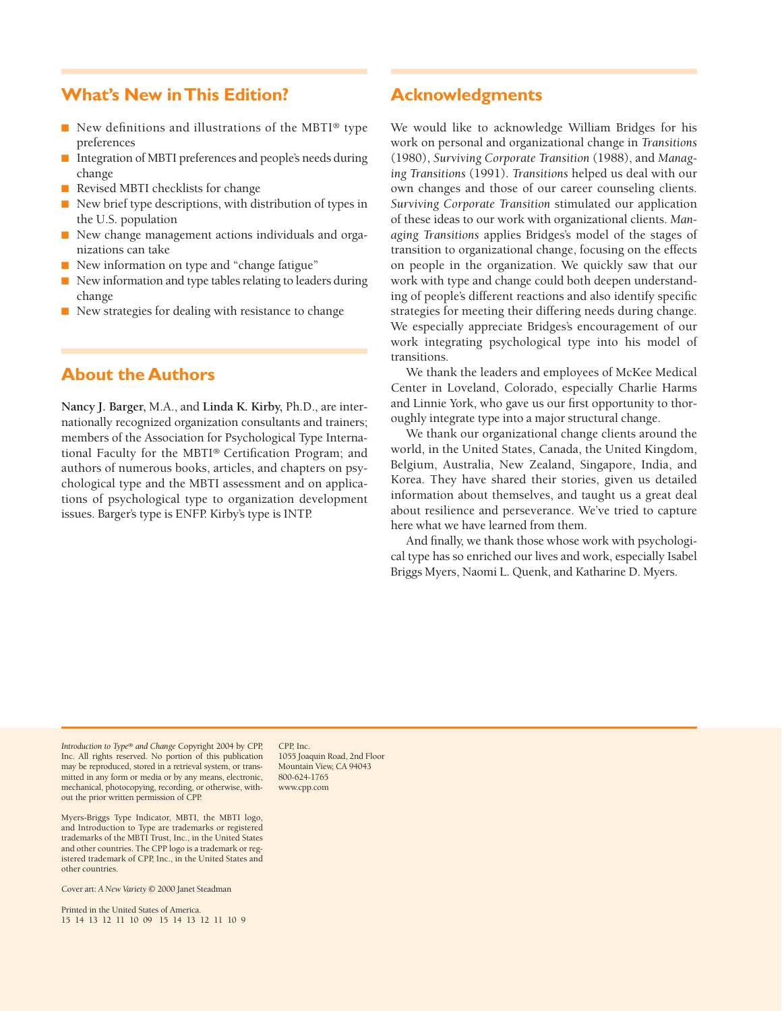## **What's New inThis Edition?**

- New definitions and illustrations of the MBTI® type preferences
- Integration of MBTI preferences and people's needs during change
- Revised MBTI checklists for change
- New brief type descriptions, with distribution of types in the U.S. population
- New change management actions individuals and organizations can take
- New information on type and "change fatigue"
- New information and type tables relating to leaders during change
- New strategies for dealing with resistance to change

# **About the Authors**

**Nancy J. Barger,** M.A., and **Linda K. Kirby,** Ph.D., are internationally recognized organization consultants and trainers; members of the Association for Psychological Type International Faculty for the MBTI® Certification Program; and authors of numerous books, articles, and chapters on psychological type and the MBTI assessment and on applications of psychological type to organization development issues. Barger's type is ENFP. Kirby's type is INTP.

# **Acknowledgments**

We would like to acknowledge William Bridges for his work on personal and organizational change in *Transitions* (1980), *Surviving Corporate Transition* (1988), and *Managing Transitions* (1991). *Transitions* helped us deal with our own changes and those of our career counseling clients. *Surviving Corporate Transition* stimulated our application of these ideas to our work with organizational clients. *Managing Transitions* applies Bridges's model of the stages of transition to organizational change, focusing on the effects on people in the organization. We quickly saw that our work with type and change could both deepen understanding of people's different reactions and also identify specific strategies for meeting their differing needs during change. We especially appreciate Bridges's encouragement of our work integrating psychological type into his model of transitions.

We thank the leaders and employees of McKee Medical Center in Loveland, Colorado, especially Charlie Harms and Linnie York, who gave us our first opportunity to thoroughly integrate type into a major structural change.

We thank our organizational change clients around the world, in the United States, Canada, the United Kingdom, Belgium, Australia, New Zealand, Singapore, India, and Korea. They have shared their stories, given us detailed information about themselves, and taught us a great deal about resilience and perseverance. We've tried to capture here what we have learned from them.

And finally, we thank those whose work with psychological type has so enriched our lives and work, especially Isabel Briggs Myers, Naomi L. Quenk, and Katharine D. Myers.

*Introduction to Type® and Change* Copyright 2004 by CPP, Inc. All rights reserved. No portion of this publication may be reproduced, stored in a retrieval system, or transmitted in any form or media or by any means, electronic, mechanical, photocopying, recording, or otherwise, without the prior written permission of CPP.

Myers-Briggs Type Indicator, MBTI, the MBTI logo, and Introduction to Type are trademarks or registered trademarks of the MBTI Trust, Inc., in the United States and other countries. The CPP logo is a trademark or registered trademark of CPP, Inc., in the United States and other countries.

CPP, Inc. 1055 Joaquin Road, 2nd Floor Mountain View, CA 94043 800-624-1765 www.cpp.com

Cover art: *A New Variety* © 2000 Janet Steadman

Printed in the United States of America. 15 14 13 12 11 10 09 15 14 13 12 11 10 9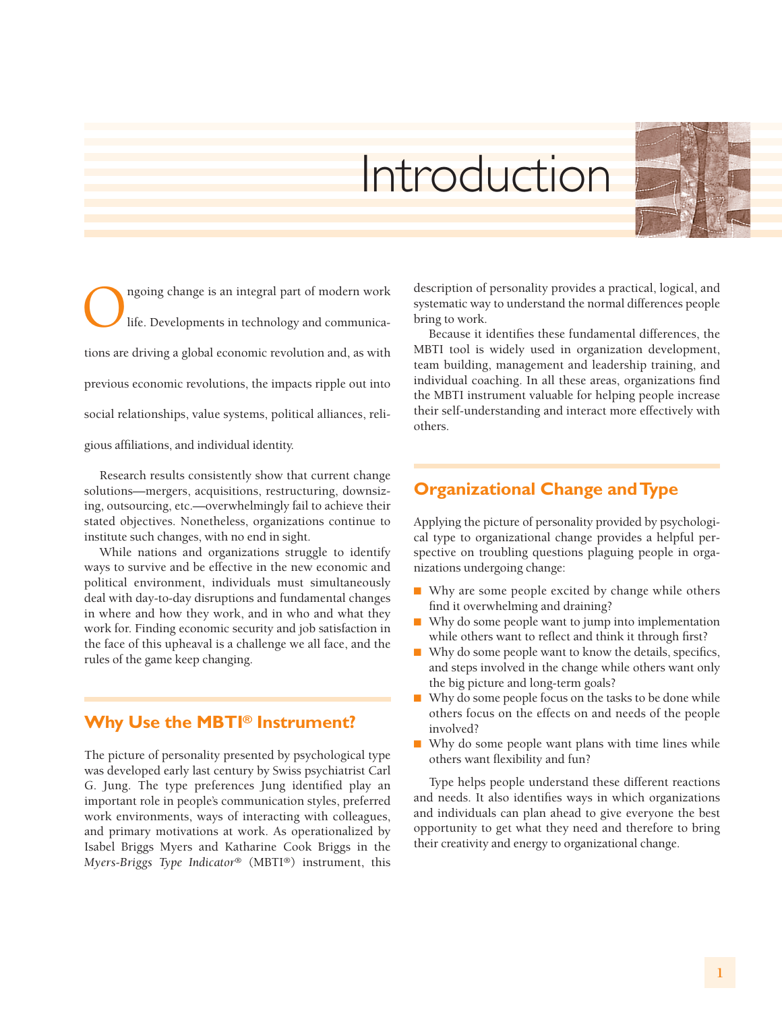# Introduction

Ongoing change is an integral part of modern work<br>life. Developments in technology and communicalife. Developments in technology and communications are driving a global economic revolution and, as with previous economic revolutions, the impacts ripple out into social relationships, value systems, political alliances, religious affiliations, and individual identity.

Research results consistently show that current change solutions—mergers, acquisitions, restructuring, downsizing, outsourcing, etc.—overwhelmingly fail to achieve their stated objectives. Nonetheless, organizations continue to institute such changes, with no end in sight.

While nations and organizations struggle to identify ways to survive and be effective in the new economic and political environment, individuals must simultaneously deal with day-to-day disruptions and fundamental changes in where and how they work, and in who and what they work for. Finding economic security and job satisfaction in the face of this upheaval is a challenge we all face, and the rules of the game keep changing.

# **Why Use the MBTI® Instrument?**

The picture of personality presented by psychological type was developed early last century by Swiss psychiatrist Carl G. Jung. The type preferences Jung identified play an important role in people's communication styles, preferred work environments, ways of interacting with colleagues, and primary motivations at work. As operationalized by Isabel Briggs Myers and Katharine Cook Briggs in the *Myers-Briggs Type Indicator*® (MBTI®) instrument, this description of personality provides a practical, logical, and systematic way to understand the normal differences people bring to work.

Because it identifies these fundamental differences, the MBTI tool is widely used in organization development, team building, management and leadership training, and individual coaching. In all these areas, organizations find the MBTI instrument valuable for helping people increase their self-understanding and interact more effectively with others.

# **Organizational Change andType**

Applying the picture of personality provided by psychological type to organizational change provides a helpful perspective on troubling questions plaguing people in organizations undergoing change:

- Why are some people excited by change while others find it overwhelming and draining?
- Why do some people want to jump into implementation while others want to reflect and think it through first?
- Why do some people want to know the details, specifics, and steps involved in the change while others want only the big picture and long-term goals?
- Why do some people focus on the tasks to be done while others focus on the effects on and needs of the people involved?
- Why do some people want plans with time lines while others want flexibility and fun?

Type helps people understand these different reactions and needs. It also identifies ways in which organizations and individuals can plan ahead to give everyone the best opportunity to get what they need and therefore to bring their creativity and energy to organizational change.